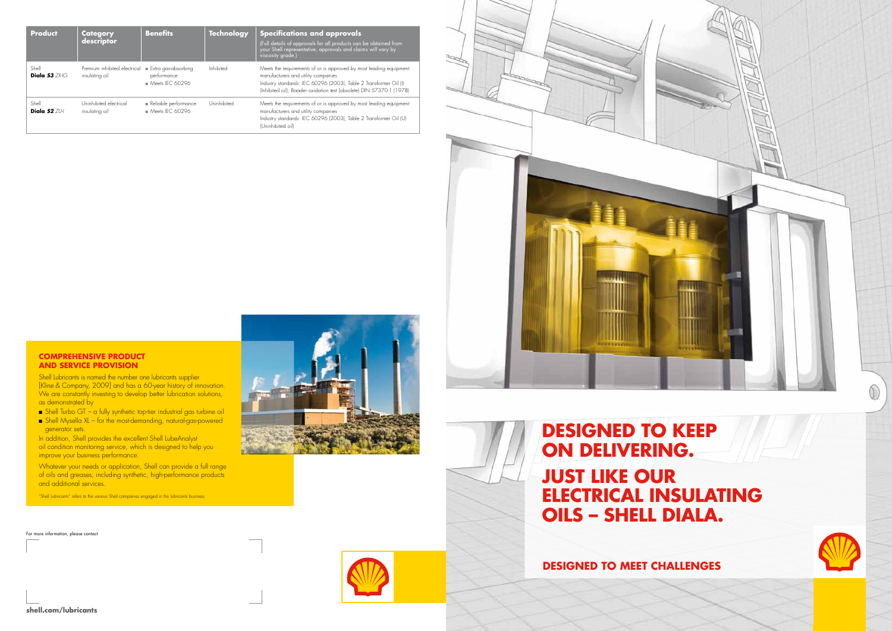| <b>Product</b>              | <b>Category</b><br>descriptor                  | <b>Benefits</b>                                                         | <b>Technology</b> | <b>Specifications and approvals</b><br>(Full details of approvals for all products can be obtained from<br>.<br>your Shell representative; approvals and claims will vary by<br>viscosity grade.)                                                      |
|-----------------------------|------------------------------------------------|-------------------------------------------------------------------------|-------------------|--------------------------------------------------------------------------------------------------------------------------------------------------------------------------------------------------------------------------------------------------------|
| Shell<br>Diala $53$ $7X+1G$ | Premium inhibited electrical<br>insulating oil | $\blacksquare$ Extra gas-absorbing<br>performance<br>$M$ eets IFC 60296 | Inhibited         | Meets the requirements of or is approved by most leading equipment<br>manufacturers and utility companies<br>Industry standards: IEC 60296 (2003), Table 2 Transformer Oil (I)<br>(Inhibited oil); Baader oxidation test (obsolete) DIN 57370-1 (1978) |
| Shell<br>Diala $52$ $71H$   | Uninhibited electrical<br>insulating oil       | Reliable performance<br>$M$ eets IFC 60296                              | Uninhibited       | Meets the requirements of or is approved by most leading equipment<br>manufacturers and utility companies<br>Industry standards: IEC 60296 (2003), Table 2 Transformer Oil (U)<br>(Uninhibited oil)                                                    |



For more information, please contact









Shell Lubricants is named the number one lubricants supplier [Kline & Company, 2009] and has a 60-year history of innovation. We are constantly investing to develop better lubrication solutions, as demonstrated by

- $\blacksquare$  Shell Turbo GT a fully synthetic top-tier industrial gas turbine oil
- $\blacksquare$  Shell Mysella XL for the most-demanding, natural-gas-powered generator sets.

In addition, Shell provides the excellent Shell LubeAnalyst oil condition monitoring service, which is designed to help you improve your business performance.

Whatever your needs or application, Shell can provide a full range of oils and greases, including synthetic, high-performance products and additional services.

"Shell Lubricants" refers to the various Shell companies engaged in the lubricants business.

# **Designed to keep on delivering. just like our electrical insulating oils – shell diala.**

**DESIGNED TO MEET CHALLENGES**